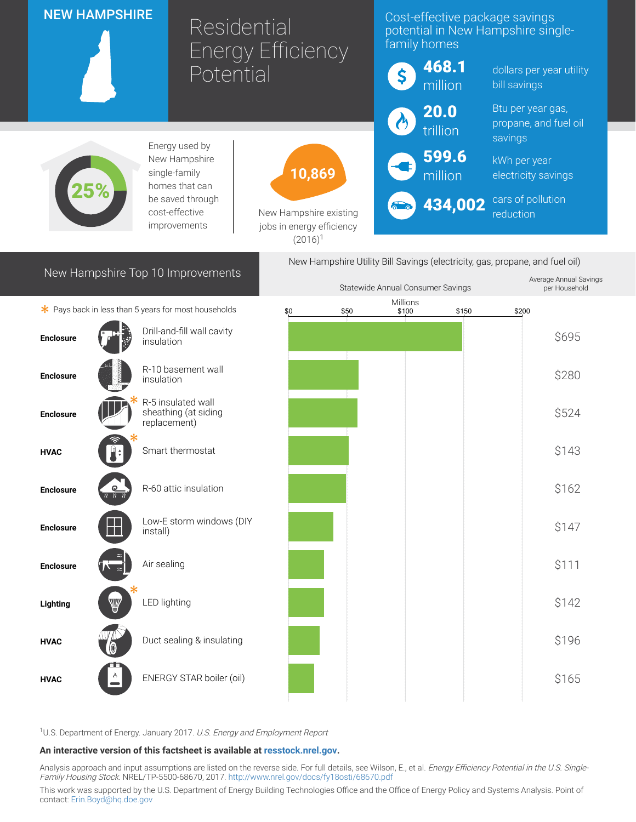|                                                                                                                          | <b>NEW HAMPSHIRE</b> | Residential                                                | <b>Energy Efficiency</b>                                                    |      | Cost-effective package savings<br>potential in New Hampshire single-<br>family homes |                  |                   |                          |
|--------------------------------------------------------------------------------------------------------------------------|----------------------|------------------------------------------------------------|-----------------------------------------------------------------------------|------|--------------------------------------------------------------------------------------|------------------|-------------------|--------------------------|
|                                                                                                                          |                      | Potential                                                  |                                                                             |      | \$                                                                                   | 468.1<br>million | bill savings      | dollars per year utility |
|                                                                                                                          |                      |                                                            |                                                                             |      | 20.0                                                                                 |                  | Btu per year gas, |                          |
| Energy used by<br>New Hampshire<br>single-family<br>homes that can<br>be saved through<br>cost-effective<br>improvements |                      |                                                            | 10,869<br>New Hampshire existing<br>jobs in energy efficiency<br>$(2016)^1$ |      | $\boldsymbol{\alpha}$                                                                | trillion         | savings           | propane, and fuel oil    |
|                                                                                                                          |                      |                                                            |                                                                             |      |                                                                                      | 599.6<br>million | kWh per year      | electricity savings      |
|                                                                                                                          |                      |                                                            |                                                                             |      | 434,002<br>reduction                                                                 |                  | cars of pollution |                          |
| New Hampshire Utility Bill Savings (electricity, gas, propane, and fuel oil)                                             |                      |                                                            |                                                                             |      |                                                                                      |                  |                   |                          |
| New Hampshire Top 10 Improvements<br>Average Annual Savings<br>Statewide Annual Consumer Savings                         |                      |                                                            |                                                                             |      |                                                                                      |                  |                   |                          |
|                                                                                                                          |                      |                                                            |                                                                             |      | Millions                                                                             |                  |                   | per Household            |
|                                                                                                                          |                      | * Pays back in less than 5 years for most households       | \$0                                                                         | \$50 | \$100                                                                                | \$150            | \$200             |                          |
| <b>Enclosure</b>                                                                                                         |                      | Drill-and-fill wall cavity<br>insulation                   |                                                                             |      |                                                                                      |                  |                   | \$695                    |
| <b>Enclosure</b>                                                                                                         |                      | R-10 basement wall<br>insulation                           |                                                                             |      |                                                                                      |                  |                   | \$280                    |
| <b>Enclosure</b>                                                                                                         |                      | R-5 insulated wall<br>sheathing (at siding<br>replacement) |                                                                             |      |                                                                                      |                  |                   | \$524                    |
| <b>HVAC</b>                                                                                                              |                      | Smart thermostat                                           |                                                                             |      |                                                                                      |                  |                   | \$143                    |
| <b>Enclosure</b>                                                                                                         |                      | R-60 attic insulation                                      |                                                                             |      |                                                                                      |                  |                   | \$162                    |
| <b>Enclosure</b>                                                                                                         |                      | Low-E storm windows (DIY<br>install)                       |                                                                             |      |                                                                                      |                  |                   | \$147                    |
| <b>Enclosure</b>                                                                                                         |                      | Air sealing                                                |                                                                             |      |                                                                                      |                  |                   | \$111                    |
| Lighting                                                                                                                 |                      | LED lighting                                               |                                                                             |      |                                                                                      |                  |                   | \$142                    |
| <b>HVAC</b>                                                                                                              |                      | Duct sealing & insulating                                  |                                                                             |      |                                                                                      |                  |                   | \$196                    |
| <b>HVAC</b>                                                                                                              |                      | ENERGY STAR boiler (oil)                                   |                                                                             |      |                                                                                      |                  |                   | \$165                    |

<sup>1</sup>U.S. Department of Energy. January 2017. U.S. Energy and Employment Report

## An interactive version of this factsheet is available at [resstock.nrel.gov.](https://resstock.nrel.gov/)

Analysis approach and input assumptions are listed on the reverse side. For full details, see Wilson, E., et al. *Energy Efficiency Potential in the U.S. Single*-Family Housing Stock. NREL/TP-5500-68670, 2017. <http://www.nrel.gov/docs/fy18osti/68670.pdf>

This work was supported by the U.S. Department of Energy Building Technologies Office and the Office of Energy Policy and Systems Analysis. Point of contact: [Erin.Boyd@hq.doe.gov](mailto:Erin.Boyd@hq.doe.gov)